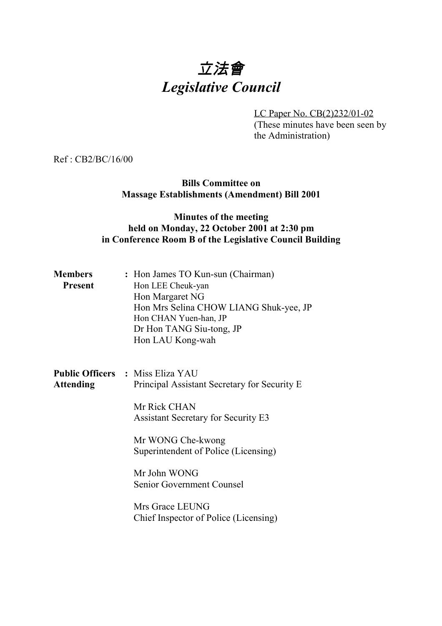# 立法會 *Legislative Council*

LC Paper No. CB(2)232/01-02 (These minutes have been seen by the Administration)

Ref : CB2/BC/16/00

**Bills Committee on Massage Establishments (Amendment) Bill 2001**

### **Minutes of the meeting held on Monday, 22 October 2001 at 2:30 pm in Conference Room B of the Legislative Council Building**

| <b>Members</b><br>Present | : Hon James TO Kun-sun (Chairman)<br>Hon LEE Cheuk-yan<br>Hon Margaret NG<br>Hon Mrs Selina CHOW LIANG Shuk-yee, JP<br>Hon CHAN Yuen-han, JP<br>Dr Hon TANG Siu-tong, JP<br>Hon LAU Kong-wah |  |
|---------------------------|----------------------------------------------------------------------------------------------------------------------------------------------------------------------------------------------|--|
| <b>Attending</b>          | <b>Public Officers : Miss Eliza YAU</b><br>Principal Assistant Secretary for Security E.<br>Mr Rick CHAN<br><b>Assistant Secretary for Security E3</b>                                       |  |
|                           | Mr WONG Che-kwong<br>Superintendent of Police (Licensing)                                                                                                                                    |  |
|                           | Mr John WONG<br>Senior Government Counsel                                                                                                                                                    |  |
|                           | Mrs Grace LEUNG<br>Chief Inspector of Police (Licensing)                                                                                                                                     |  |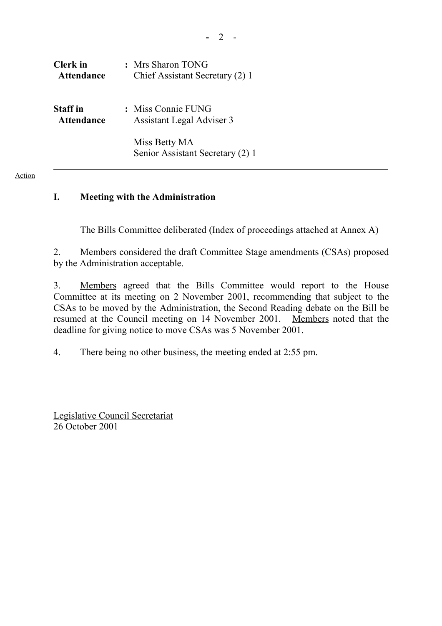| Clerk in          | : Mrs Sharon TONG                                 |
|-------------------|---------------------------------------------------|
| <b>Attendance</b> | Chief Assistant Secretary (2) 1                   |
| <b>Staff</b> in   | : Miss Connie FUNG                                |
| <b>Attendance</b> | Assistant Legal Adviser 3                         |
|                   | Miss Betty MA<br>Senior Assistant Secretary (2) 1 |

## **I. Meeting with the Administration**

The Bills Committee deliberated (Index of proceedings attached at Annex A)

2. Members considered the draft Committee Stage amendments (CSAs) proposed by the Administration acceptable.

3. Members agreed that the Bills Committee would report to the House Committee at its meeting on 2 November 2001, recommending that subject to the CSAs to be moved by the Administration, the Second Reading debate on the Bill be resumed at the Council meeting on 14 November 2001. Members noted that the deadline for giving notice to move CSAs was 5 November 2001.

4. There being no other business, the meeting ended at 2:55 pm.

Legislative Council Secretariat 26 October 2001